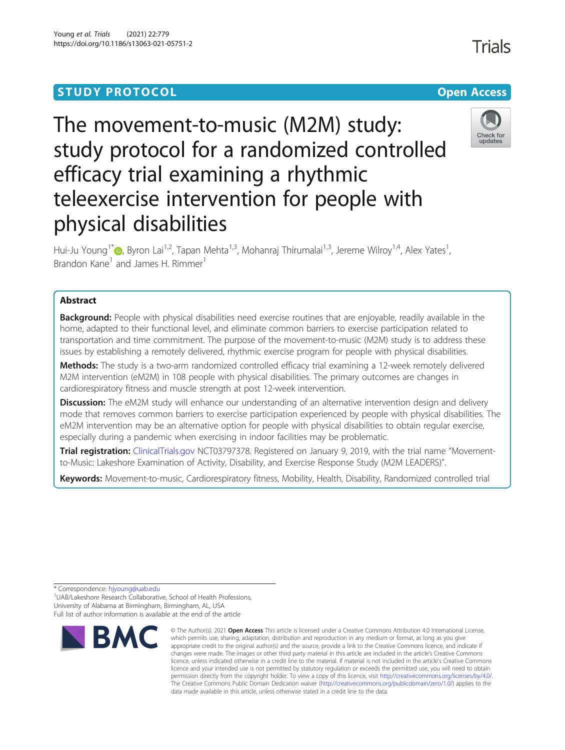## **STUDY PROTOCOL CONSUMING THE RESERVE ACCESS**

# The movement-to-music (M2M) study: study protocol for a randomized controlled efficacy trial examining a rhythmic teleexercise intervention for people with physical disabilities

Hui-Ju Young<sup>1[\\*](http://orcid.org/0000-0001-6115-4650)</sup>  $\bullet$ , Byron Lai<sup>1,2</sup>, Tapan Mehta<sup>1,3</sup>, Mohanraj Thirumalai<sup>1,3</sup>, Jereme Wilroy<sup>1,4</sup>, Alex Yates<sup>1</sup>, , Brandon Kane<sup>1</sup> and James H. Rimmer<sup>1</sup>

## Abstract

Background: People with physical disabilities need exercise routines that are enjoyable, readily available in the home, adapted to their functional level, and eliminate common barriers to exercise participation related to transportation and time commitment. The purpose of the movement-to-music (M2M) study is to address these issues by establishing a remotely delivered, rhythmic exercise program for people with physical disabilities.

Methods: The study is a two-arm randomized controlled efficacy trial examining a 12-week remotely delivered M2M intervention (eM2M) in 108 people with physical disabilities. The primary outcomes are changes in cardiorespiratory fitness and muscle strength at post 12-week intervention.

**Discussion:** The eM2M study will enhance our understanding of an alternative intervention design and delivery mode that removes common barriers to exercise participation experienced by people with physical disabilities. The eM2M intervention may be an alternative option for people with physical disabilities to obtain regular exercise, especially during a pandemic when exercising in indoor facilities may be problematic.

Trial registration: [ClinicalTrials.gov](http://clinicaltrials.gov) NCT03797378. Registered on January 9, 2019, with the trial name "Movementto-Music: Lakeshore Examination of Activity, Disability, and Exercise Response Study (M2M LEADERS)".

Keywords: Movement-to-music, Cardiorespiratory fitness, Mobility, Health, Disability, Randomized controlled trial

\* Correspondence: [hjyoung@uab.edu](mailto:hjyoung@uab.edu) <sup>1</sup>

<sup>1</sup>UAB/Lakeshore Research Collaborative, School of Health Professions, University of Alabama at Birmingham, Birmingham, AL, USA

Full list of author information is available at the end of the article



<sup>©</sup> The Author(s), 2021 **Open Access** This article is licensed under a Creative Commons Attribution 4.0 International License, which permits use, sharing, adaptation, distribution and reproduction in any medium or format, as long as you give appropriate credit to the original author(s) and the source, provide a link to the Creative Commons licence, and indicate if changes were made. The images or other third party material in this article are included in the article's Creative Commons licence, unless indicated otherwise in a credit line to the material. If material is not included in the article's Creative Commons licence and your intended use is not permitted by statutory regulation or exceeds the permitted use, you will need to obtain permission directly from the copyright holder. To view a copy of this licence, visit [http://creativecommons.org/licenses/by/4.0/.](http://creativecommons.org/licenses/by/4.0/) The Creative Commons Public Domain Dedication waiver [\(http://creativecommons.org/publicdomain/zero/1.0/](http://creativecommons.org/publicdomain/zero/1.0/)) applies to the data made available in this article, unless otherwise stated in a credit line to the data.



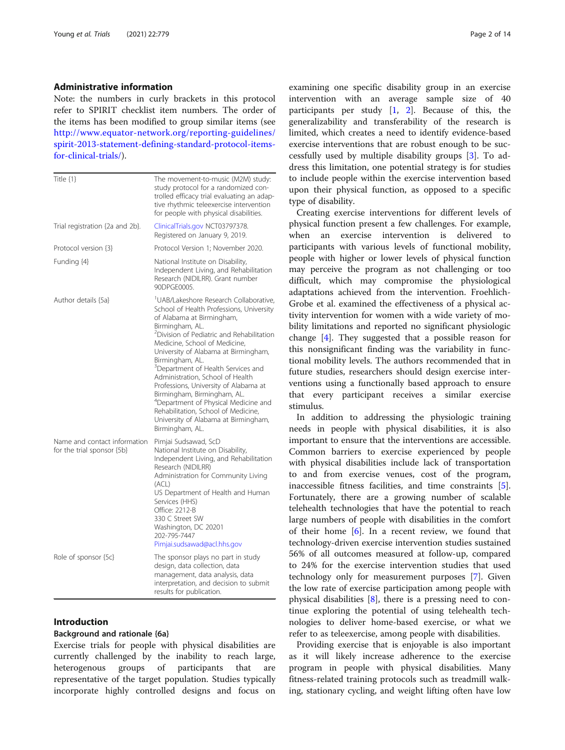## Administrative information

Note: the numbers in curly brackets in this protocol refer to SPIRIT checklist item numbers. The order of the items has been modified to group similar items (see [http://www.equator-network.org/reporting-guidelines/](http://www.equator-network.org/reporting-guidelines/spirit-2013-statement-defining-standard-protocol-items-for-clinical-trials/) [spirit-2013-statement-defining-standard-protocol-items](http://www.equator-network.org/reporting-guidelines/spirit-2013-statement-defining-standard-protocol-items-for-clinical-trials/)[for-clinical-trials/](http://www.equator-network.org/reporting-guidelines/spirit-2013-statement-defining-standard-protocol-items-for-clinical-trials/)).

| Title $\{1\}$                                              | The movement-to-music (M2M) study:<br>study protocol for a randomized con-<br>trolled efficacy trial evaluating an adap-<br>tive rhythmic teleexercise intervention<br>for people with physical disabilities.                                                                                                                                                                                                                                                                                                                                                                                                           |
|------------------------------------------------------------|-------------------------------------------------------------------------------------------------------------------------------------------------------------------------------------------------------------------------------------------------------------------------------------------------------------------------------------------------------------------------------------------------------------------------------------------------------------------------------------------------------------------------------------------------------------------------------------------------------------------------|
| Trial registration {2a and 2b}.                            | ClinicalTrials.gov NCT03797378.<br>Registered on January 9, 2019.                                                                                                                                                                                                                                                                                                                                                                                                                                                                                                                                                       |
| Protocol version {3}                                       | Protocol Version 1; November 2020.                                                                                                                                                                                                                                                                                                                                                                                                                                                                                                                                                                                      |
| Funding {4}                                                | National Institute on Disability,<br>Independent Living, and Rehabilitation<br>Research (NIDILRR). Grant number<br>90DPGF0005.                                                                                                                                                                                                                                                                                                                                                                                                                                                                                          |
| Author details {5a}                                        | <sup>1</sup> UAB/Lakeshore Research Collaborative,<br>School of Health Professions, University<br>of Alabama at Birmingham,<br>Birmingham, AL.<br><sup>2</sup> Division of Pediatric and Rehabilitation<br>Medicine, School of Medicine,<br>University of Alabama at Birmingham,<br>Birmingham, AL.<br><sup>3</sup> Department of Health Services and<br>Administration, School of Health<br>Professions, University of Alabama at<br>Birmingham, Birmingham, AL.<br><sup>4</sup> Department of Physical Medicine and<br>Rehabilitation, School of Medicine,<br>University of Alabama at Birmingham,<br>Birmingham, AL. |
| Name and contact information<br>for the trial sponsor {5b} | Pimjai Sudsawad, ScD<br>National Institute on Disability,<br>Independent Living, and Rehabilitation<br>Research (NIDILRR)<br>Administration for Community Living<br>(ACL)<br>US Department of Health and Human<br>Services (HHS)<br>Office: 2212-B<br>330 C Street SW<br>Washington, DC 20201<br>202-795-7447<br>Pimjai.sudsawad@acl.hhs.gov                                                                                                                                                                                                                                                                            |
| Role of sponsor {5c}                                       | The sponsor plays no part in study<br>design, data collection, data<br>management, data analysis, data<br>interpretation, and decision to submit<br>results for publication.                                                                                                                                                                                                                                                                                                                                                                                                                                            |

## Introduction

#### Background and rationale {6a}

Exercise trials for people with physical disabilities are currently challenged by the inability to reach large, heterogenous groups of participants that are representative of the target population. Studies typically incorporate highly controlled designs and focus on

examining one specific disability group in an exercise intervention with an average sample size of 40 participants per study  $\begin{bmatrix} 1, 2 \end{bmatrix}$  $\begin{bmatrix} 1, 2 \end{bmatrix}$  $\begin{bmatrix} 1, 2 \end{bmatrix}$ . Because of this, the generalizability and transferability of the research is limited, which creates a need to identify evidence-based exercise interventions that are robust enough to be successfully used by multiple disability groups [[3\]](#page-11-0). To address this limitation, one potential strategy is for studies to include people within the exercise intervention based upon their physical function, as opposed to a specific type of disability.

Creating exercise interventions for different levels of physical function present a few challenges. For example, when an exercise intervention is delivered to participants with various levels of functional mobility, people with higher or lower levels of physical function may perceive the program as not challenging or too difficult, which may compromise the physiological adaptations achieved from the intervention. Froehlich-Grobe et al. examined the effectiveness of a physical activity intervention for women with a wide variety of mobility limitations and reported no significant physiologic change [[4](#page-11-0)]. They suggested that a possible reason for this nonsignificant finding was the variability in functional mobility levels. The authors recommended that in future studies, researchers should design exercise interventions using a functionally based approach to ensure that every participant receives a similar exercise stimulus.

In addition to addressing the physiologic training needs in people with physical disabilities, it is also important to ensure that the interventions are accessible. Common barriers to exercise experienced by people with physical disabilities include lack of transportation to and from exercise venues, cost of the program, inaccessible fitness facilities, and time constraints [\[5](#page-11-0)]. Fortunately, there are a growing number of scalable telehealth technologies that have the potential to reach large numbers of people with disabilities in the comfort of their home [[6\]](#page-11-0). In a recent review, we found that technology-driven exercise intervention studies sustained 56% of all outcomes measured at follow-up, compared to 24% for the exercise intervention studies that used technology only for measurement purposes [\[7\]](#page-11-0). Given the low rate of exercise participation among people with physical disabilities  $[8]$  $[8]$ , there is a pressing need to continue exploring the potential of using telehealth technologies to deliver home-based exercise, or what we refer to as teleexercise, among people with disabilities.

Providing exercise that is enjoyable is also important as it will likely increase adherence to the exercise program in people with physical disabilities. Many fitness-related training protocols such as treadmill walking, stationary cycling, and weight lifting often have low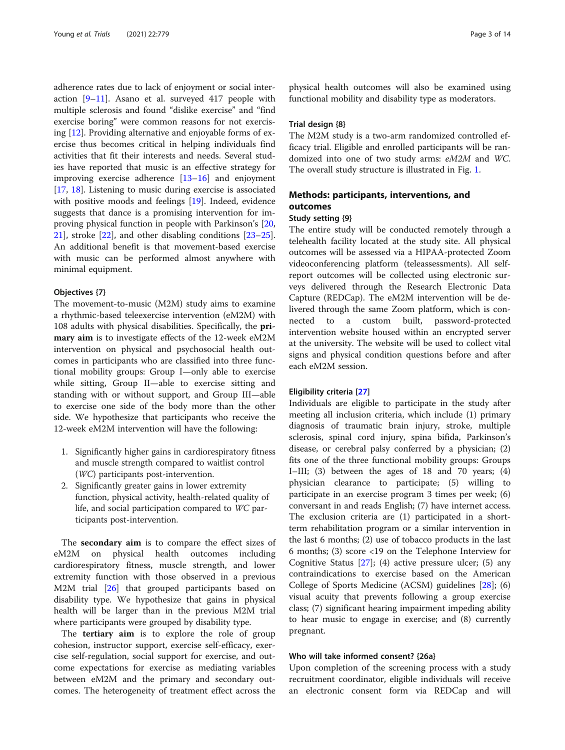adherence rates due to lack of enjoyment or social interaction [\[9](#page-11-0)–[11\]](#page-11-0). Asano et al. surveyed 417 people with multiple sclerosis and found "dislike exercise" and "find exercise boring" were common reasons for not exercising [\[12](#page-11-0)]. Providing alternative and enjoyable forms of exercise thus becomes critical in helping individuals find activities that fit their interests and needs. Several studies have reported that music is an effective strategy for improving exercise adherence [[13](#page-11-0)–[16](#page-11-0)] and enjoyment [[17,](#page-11-0) [18\]](#page-11-0). Listening to music during exercise is associated with positive moods and feelings [\[19\]](#page-11-0). Indeed, evidence suggests that dance is a promising intervention for improving physical function in people with Parkinson's [[20](#page-11-0), [21\]](#page-11-0), stroke [\[22](#page-12-0)], and other disabling conditions [[23](#page-12-0)–[25](#page-12-0)]. An additional benefit is that movement-based exercise with music can be performed almost anywhere with minimal equipment.

#### Objectives {7}

The movement-to-music (M2M) study aims to examine a rhythmic-based teleexercise intervention (eM2M) with 108 adults with physical disabilities. Specifically, the primary aim is to investigate effects of the 12-week eM2M intervention on physical and psychosocial health outcomes in participants who are classified into three functional mobility groups: Group I—only able to exercise while sitting, Group II—able to exercise sitting and standing with or without support, and Group III—able to exercise one side of the body more than the other side. We hypothesize that participants who receive the 12-week eM2M intervention will have the following:

- 1. Significantly higher gains in cardiorespiratory fitness and muscle strength compared to waitlist control (WC) participants post-intervention.
- 2. Significantly greater gains in lower extremity function, physical activity, health-related quality of life, and social participation compared to WC participants post-intervention.

The secondary aim is to compare the effect sizes of eM2M on physical health outcomes including cardiorespiratory fitness, muscle strength, and lower extremity function with those observed in a previous M2M trial [[26\]](#page-12-0) that grouped participants based on disability type. We hypothesize that gains in physical health will be larger than in the previous M2M trial where participants were grouped by disability type.

The **tertiary aim** is to explore the role of group cohesion, instructor support, exercise self-efficacy, exercise self-regulation, social support for exercise, and outcome expectations for exercise as mediating variables between eM2M and the primary and secondary outcomes. The heterogeneity of treatment effect across the

physical health outcomes will also be examined using functional mobility and disability type as moderators.

#### Trial design {8}

The M2M study is a two-arm randomized controlled efficacy trial. Eligible and enrolled participants will be randomized into one of two study arms: eM2M and WC. The overall study structure is illustrated in Fig. [1](#page-3-0).

## Methods: participants, interventions, and outcomes

#### Study setting {9}

The entire study will be conducted remotely through a telehealth facility located at the study site. All physical outcomes will be assessed via a HIPAA-protected Zoom videoconferencing platform (teleassessments). All selfreport outcomes will be collected using electronic surveys delivered through the Research Electronic Data Capture (REDCap). The eM2M intervention will be delivered through the same Zoom platform, which is connected to a custom built, password-protected intervention website housed within an encrypted server at the university. The website will be used to collect vital signs and physical condition questions before and after each eM2M session.

#### Eligibility criteria [[27](#page-12-0)]

Individuals are eligible to participate in the study after meeting all inclusion criteria, which include (1) primary diagnosis of traumatic brain injury, stroke, multiple sclerosis, spinal cord injury, spina bifida, Parkinson's disease, or cerebral palsy conferred by a physician; (2) fits one of the three functional mobility groups: Groups I–III; (3) between the ages of 18 and 70 years; (4) physician clearance to participate; (5) willing to participate in an exercise program 3 times per week; (6) conversant in and reads English; (7) have internet access. The exclusion criteria are (1) participated in a shortterm rehabilitation program or a similar intervention in the last 6 months; (2) use of tobacco products in the last 6 months; (3) score <19 on the Telephone Interview for Cognitive Status  $[27]$  $[27]$  $[27]$ ; (4) active pressure ulcer; (5) any contraindications to exercise based on the American College of Sports Medicine (ACSM) guidelines [\[28](#page-12-0)]; (6) visual acuity that prevents following a group exercise class; (7) significant hearing impairment impeding ability to hear music to engage in exercise; and (8) currently pregnant.

## Who will take informed consent? {26a}

Upon completion of the screening process with a study recruitment coordinator, eligible individuals will receive an electronic consent form via REDCap and will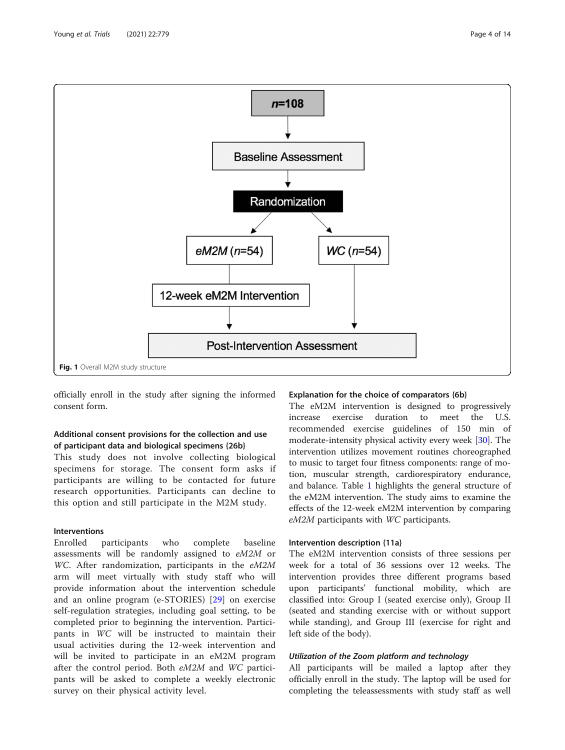<span id="page-3-0"></span>

officially enroll in the study after signing the informed consent form.

## Additional consent provisions for the collection and use of participant data and biological specimens {26b}

This study does not involve collecting biological specimens for storage. The consent form asks if participants are willing to be contacted for future research opportunities. Participants can decline to this option and still participate in the M2M study.

## Interventions

Enrolled participants who complete baseline assessments will be randomly assigned to eM2M or WC. After randomization, participants in the eM2M arm will meet virtually with study staff who will provide information about the intervention schedule and an online program (e-STORIES) [\[29](#page-12-0)] on exercise self-regulation strategies, including goal setting, to be completed prior to beginning the intervention. Participants in WC will be instructed to maintain their usual activities during the 12-week intervention and will be invited to participate in an eM2M program after the control period. Both eM2M and WC participants will be asked to complete a weekly electronic survey on their physical activity level.

## Explanation for the choice of comparators {6b}

The eM2M intervention is designed to progressively increase exercise duration to meet the U.S. recommended exercise guidelines of 150 min of moderate-intensity physical activity every week [\[30\]](#page-12-0). The intervention utilizes movement routines choreographed to music to target four fitness components: range of motion, muscular strength, cardiorespiratory endurance, and balance. Table [1](#page-4-0) highlights the general structure of the eM2M intervention. The study aims to examine the effects of the 12-week eM2M intervention by comparing eM2M participants with WC participants.

## Intervention description {11a}

The eM2M intervention consists of three sessions per week for a total of 36 sessions over 12 weeks. The intervention provides three different programs based upon participants' functional mobility, which are classified into: Group I (seated exercise only), Group II (seated and standing exercise with or without support while standing), and Group III (exercise for right and left side of the body).

## Utilization of the Zoom platform and technology

All participants will be mailed a laptop after they officially enroll in the study. The laptop will be used for completing the teleassessments with study staff as well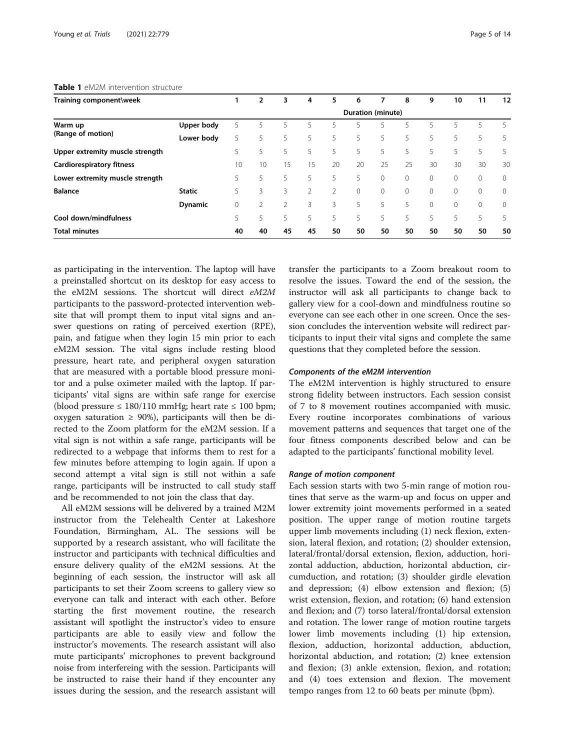## <span id="page-4-0"></span>Table 1 cM2M intervention structure

| Training component\week          |                |    | 2  | 3  | 4              | 5  | 6                 | 7        | 8            | 9        | 10      | 11 | 12           |
|----------------------------------|----------------|----|----|----|----------------|----|-------------------|----------|--------------|----------|---------|----|--------------|
|                                  |                |    |    |    |                |    | Duration (minute) |          |              |          |         |    |              |
| Warm up                          | Upper body     | 5  | 5  | 5  | 5.             | 5. | 5                 | 5.       | 5.           | 5        | 5       | 5  | 5            |
| (Range of motion)                | Lower body     | 5  | 5  | 5  | 5              | 5  | 5                 | 5        | 5            | 5        | 5       | 5  | 5            |
| Upper extremity muscle strength  |                | 5  | 5  | 5  | 5.             | 5  | 5                 | 5        | 5            | 5        | 5       | 5  | 5            |
| <b>Cardiorespiratory fitness</b> |                | 10 | 10 | 15 | 15             | 20 | 20                | 25       | 25           | 30       | 30      | 30 | 30           |
| Lower extremity muscle strength  |                | 5  | 5  | 5. | 5.             | 5. | 5.                | $\Omega$ | $\Omega$     | $\circ$  | $\circ$ | 0  | $\mathbf{0}$ |
| <b>Balance</b>                   | <b>Static</b>  | 5  | 3  | 3  | $\overline{2}$ | 2  | $\circ$           | $\circ$  | $\mathbf{0}$ | $\circ$  | $\circ$ | 0  | $\mathbf{0}$ |
|                                  | <b>Dynamic</b> | 0  |    |    | 3              | 3  | 5                 | 5        | 5            | $\Omega$ | $\circ$ | 0  | $\mathbf{0}$ |
| Cool down/mindfulness            |                | 5. | 5  | 5  | 5              | 5  | 5                 | 5        | 5            | 5        | 5       | 5  | 5            |
| <b>Total minutes</b>             |                | 40 | 40 | 45 | 45             | 50 | 50                | 50       | 50           | 50       | 50      | 50 | 50           |

as participating in the intervention. The laptop will have a preinstalled shortcut on its desktop for easy access to the eM2M sessions. The shortcut will direct eM2M participants to the password-protected intervention website that will prompt them to input vital signs and answer questions on rating of perceived exertion (RPE), pain, and fatigue when they login 15 min prior to each eM2M session. The vital signs include resting blood pressure, heart rate, and peripheral oxygen saturation that are measured with a portable blood pressure monitor and a pulse oximeter mailed with the laptop. If participants' vital signs are within safe range for exercise (blood pressure ≤ 180/110 mmHg; heart rate ≤ 100 bpm; oxygen saturation  $\geq 90\%$ ), participants will then be directed to the Zoom platform for the eM2M session. If a vital sign is not within a safe range, participants will be redirected to a webpage that informs them to rest for a few minutes before attemping to login again. If upon a second attempt a vital sign is still not within a safe range, participants will be instructed to call study staff and be recommended to not join the class that day.

All eM2M sessions will be delivered by a trained M2M instructor from the Telehealth Center at Lakeshore Foundation, Birmingham, AL. The sessions will be supported by a research assistant, who will facilitate the instructor and participants with technical difficulties and ensure delivery quality of the eM2M sessions. At the beginning of each session, the instructor will ask all participants to set their Zoom screens to gallery view so everyone can talk and interact with each other. Before starting the first movement routine, the research assistant will spotlight the instructor's video to ensure participants are able to easily view and follow the instructor's movements. The research assistant will also mute participants' microphones to prevent background noise from interfereing with the session. Participants will be instructed to raise their hand if they encounter any issues during the session, and the research assistant will

transfer the participants to a Zoom breakout room to resolve the issues. Toward the end of the session, the instructor will ask all participants to change back to gallery view for a cool-down and mindfulness routine so everyone can see each other in one screen. Once the session concludes the intervention website will redirect participants to input their vital signs and complete the same questions that they completed before the session.

#### Components of the eM2M intervention

The eM2M intervention is highly structured to ensure strong fidelity between instructors. Each session consist of 7 to 8 movement routines accompanied with music. Every routine incorporates combinations of various movement patterns and sequences that target one of the four fitness components described below and can be adapted to the participants' functional mobility level.

#### Range of motion component

Each session starts with two 5-min range of motion routines that serve as the warm-up and focus on upper and lower extremity joint movements performed in a seated position. The upper range of motion routine targets upper limb movements including (1) neck flexion, extension, lateral flexion, and rotation; (2) shoulder extension, lateral/frontal/dorsal extension, flexion, adduction, horizontal adduction, abduction, horizontal abduction, circumduction, and rotation; (3) shoulder girdle elevation and depression; (4) elbow extension and flexion; (5) wrist extension, flexion, and rotation; (6) hand extension and flexion; and (7) torso lateral/frontal/dorsal extension and rotation. The lower range of motion routine targets lower limb movements including (1) hip extension, flexion, adduction, horizontal adduction, abduction, horizontal abduction, and rotation; (2) knee extension and flexion; (3) ankle extension, flexion, and rotation; and (4) toes extension and flexion. The movement tempo ranges from 12 to 60 beats per minute (bpm).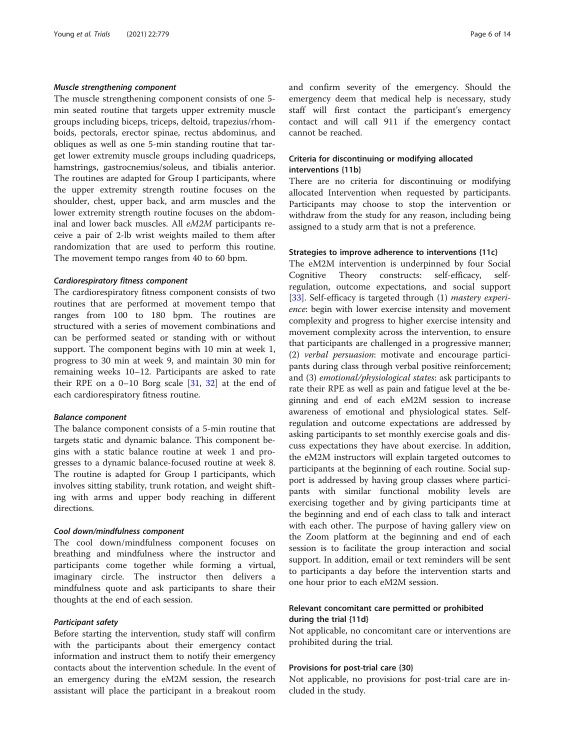## Muscle strengthening component

The muscle strengthening component consists of one 5 min seated routine that targets upper extremity muscle groups including biceps, triceps, deltoid, trapezius/rhomboids, pectorals, erector spinae, rectus abdominus, and obliques as well as one 5-min standing routine that target lower extremity muscle groups including quadriceps, hamstrings, gastrocnemius/soleus, and tibialis anterior. The routines are adapted for Group I participants, where the upper extremity strength routine focuses on the shoulder, chest, upper back, and arm muscles and the lower extremity strength routine focuses on the abdominal and lower back muscles. All eM2M participants receive a pair of 2-lb wrist weights mailed to them after randomization that are used to perform this routine. The movement tempo ranges from 40 to 60 bpm.

#### Cardiorespiratory fitness component

The cardiorespiratory fitness component consists of two routines that are performed at movement tempo that ranges from 100 to 180 bpm. The routines are structured with a series of movement combinations and can be performed seated or standing with or without support. The component begins with 10 min at week 1, progress to 30 min at week 9, and maintain 30 min for remaining weeks 10–12. Participants are asked to rate their RPE on a  $0-10$  Borg scale  $\left[31, 32\right]$  $\left[31, 32\right]$  $\left[31, 32\right]$  at the end of each cardiorespiratory fitness routine.

#### Balance component

The balance component consists of a 5-min routine that targets static and dynamic balance. This component begins with a static balance routine at week 1 and progresses to a dynamic balance-focused routine at week 8. The routine is adapted for Group I participants, which involves sitting stability, trunk rotation, and weight shifting with arms and upper body reaching in different directions.

#### Cool down/mindfulness component

The cool down/mindfulness component focuses on breathing and mindfulness where the instructor and participants come together while forming a virtual, imaginary circle. The instructor then delivers a mindfulness quote and ask participants to share their thoughts at the end of each session.

#### Participant safety

Before starting the intervention, study staff will confirm with the participants about their emergency contact information and instruct them to notify their emergency contacts about the intervention schedule. In the event of an emergency during the eM2M session, the research assistant will place the participant in a breakout room

and confirm severity of the emergency. Should the emergency deem that medical help is necessary, study staff will first contact the participant's emergency contact and will call 911 if the emergency contact cannot be reached.

## Criteria for discontinuing or modifying allocated interventions {11b}

There are no criteria for discontinuing or modifying allocated Intervention when requested by participants. Participants may choose to stop the intervention or withdraw from the study for any reason, including being assigned to a study arm that is not a preference.

## Strategies to improve adherence to interventions {11c}

The eM2M intervention is underpinned by four Social Cognitive Theory constructs: self-efficacy, selfregulation, outcome expectations, and social support [[33\]](#page-12-0). Self-efficacy is targeted through (1) *mastery experi*ence: begin with lower exercise intensity and movement complexity and progress to higher exercise intensity and movement complexity across the intervention, to ensure that participants are challenged in a progressive manner; (2) verbal persuasion: motivate and encourage participants during class through verbal positive reinforcement; and (3) emotional/physiological states: ask participants to rate their RPE as well as pain and fatigue level at the beginning and end of each eM2M session to increase awareness of emotional and physiological states. Selfregulation and outcome expectations are addressed by asking participants to set monthly exercise goals and discuss expectations they have about exercise. In addition, the eM2M instructors will explain targeted outcomes to participants at the beginning of each routine. Social support is addressed by having group classes where participants with similar functional mobility levels are exercising together and by giving participants time at the beginning and end of each class to talk and interact with each other. The purpose of having gallery view on the Zoom platform at the beginning and end of each session is to facilitate the group interaction and social support. In addition, email or text reminders will be sent to participants a day before the intervention starts and one hour prior to each eM2M session.

## Relevant concomitant care permitted or prohibited during the trial {11d}

Not applicable, no concomitant care or interventions are prohibited during the trial.

#### Provisions for post-trial care {30}

Not applicable, no provisions for post-trial care are included in the study.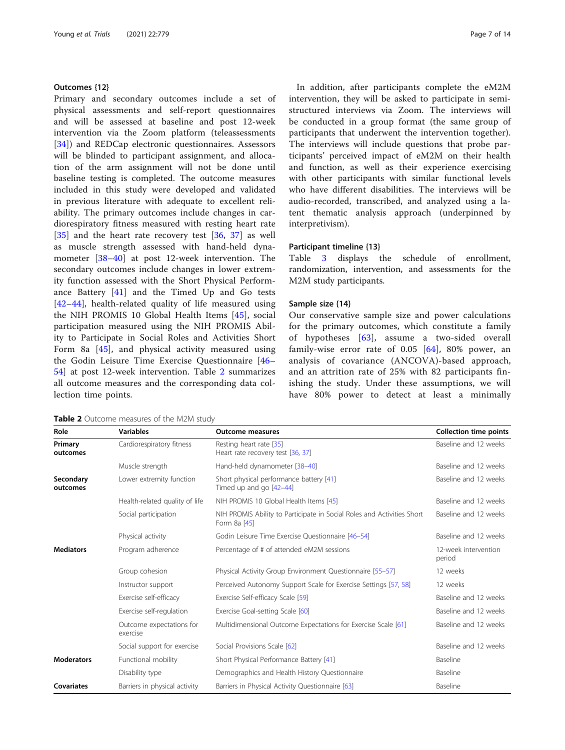## Outcomes {12}

Primary and secondary outcomes include a set of physical assessments and self-report questionnaires and will be assessed at baseline and post 12-week intervention via the Zoom platform (teleassessments [[34\]](#page-12-0)) and REDCap electronic questionnaires. Assessors will be blinded to participant assignment, and allocation of the arm assignment will not be done until baseline testing is completed. The outcome measures included in this study were developed and validated in previous literature with adequate to excellent reliability. The primary outcomes include changes in cardiorespiratory fitness measured with resting heart rate [[35\]](#page-12-0) and the heart rate recovery test [[36,](#page-12-0) [37\]](#page-12-0) as well as muscle strength assessed with hand-held dynamometer [\[38](#page-12-0)–[40](#page-12-0)] at post 12-week intervention. The secondary outcomes include changes in lower extremity function assessed with the Short Physical Performance Battery [[41\]](#page-12-0) and the Timed Up and Go tests [[42](#page-12-0)–[44\]](#page-12-0), health-related quality of life measured using the NIH PROMIS 10 Global Health Items [[45](#page-12-0)], social participation measured using the NIH PROMIS Ability to Participate in Social Roles and Activities Short Form 8a [[45](#page-12-0)], and physical activity measured using the Godin Leisure Time Exercise Questionnaire [[46](#page-12-0)– [54\]](#page-12-0) at post 12-week intervention. Table 2 summarizes all outcome measures and the corresponding data collection time points.

In addition, after participants complete the eM2M intervention, they will be asked to participate in semistructured interviews via Zoom. The interviews will be conducted in a group format (the same group of participants that underwent the intervention together). The interviews will include questions that probe participants' perceived impact of eM2M on their health and function, as well as their experience exercising with other participants with similar functional levels who have different disabilities. The interviews will be audio-recorded, transcribed, and analyzed using a latent thematic analysis approach (underpinned by interpretivism).

## Participant timeline {13}

Table [3](#page-7-0) displays the schedule of enrollment, randomization, intervention, and assessments for the M2M study participants.

#### Sample size {14}

Our conservative sample size and power calculations for the primary outcomes, which constitute a family of hypotheses [\[63](#page-13-0)], assume a two-sided overall family-wise error rate of  $0.05$   $[64]$ , 80% power, an analysis of covariance (ANCOVA)-based approach, and an attrition rate of 25% with 82 participants finishing the study. Under these assumptions, we will have 80% power to detect at least a minimally

| Role                  | <b>Variables</b>                     | <b>Outcome measures</b>                                                                | <b>Collection time points</b>  |
|-----------------------|--------------------------------------|----------------------------------------------------------------------------------------|--------------------------------|
| Primary<br>outcomes   | Cardiorespiratory fitness            | Resting heart rate [35]<br>Heart rate recovery test [36, 37]                           | Baseline and 12 weeks          |
|                       | Muscle strength                      | Hand-held dynamometer [38-40]                                                          | Baseline and 12 weeks          |
| Secondary<br>outcomes | Lower extremity function             | Short physical performance battery [41]<br>Timed up and go [42-44]                     | Baseline and 12 weeks          |
|                       | Health-related quality of life       | NIH PROMIS 10 Global Health Items [45]                                                 | Baseline and 12 weeks          |
|                       | Social participation                 | NIH PROMIS Ability to Participate in Social Roles and Activities Short<br>Form 8a [45] | Baseline and 12 weeks          |
|                       | Physical activity                    | Godin Leisure Time Exercise Questionnaire [46-54]                                      | Baseline and 12 weeks          |
| <b>Mediators</b>      | Program adherence                    | Percentage of # of attended eM2M sessions                                              | 12-week intervention<br>period |
|                       | Group cohesion                       | Physical Activity Group Environment Questionnaire [55-57]                              | 12 weeks                       |
|                       | Instructor support                   | Perceived Autonomy Support Scale for Exercise Settings [57, 58]                        | 12 weeks                       |
|                       | Exercise self-efficacy               | Exercise Self-efficacy Scale [59]                                                      | Baseline and 12 weeks          |
|                       | Exercise self-regulation             | Exercise Goal-setting Scale [60]                                                       | Baseline and 12 weeks          |
|                       | Outcome expectations for<br>exercise | Multidimensional Outcome Expectations for Exercise Scale [61]                          | Baseline and 12 weeks          |
|                       | Social support for exercise          | Social Provisions Scale [62]                                                           | Baseline and 12 weeks          |
| <b>Moderators</b>     | Functional mobility                  | Short Physical Performance Battery [41]                                                | Baseline                       |
|                       | Disability type                      | Demographics and Health History Questionnaire                                          | Baseline                       |
| Covariates            | Barriers in physical activity        | Barriers in Physical Activity Questionnaire [63]                                       | Baseline                       |

Table 2 Outcome measures of the M2M study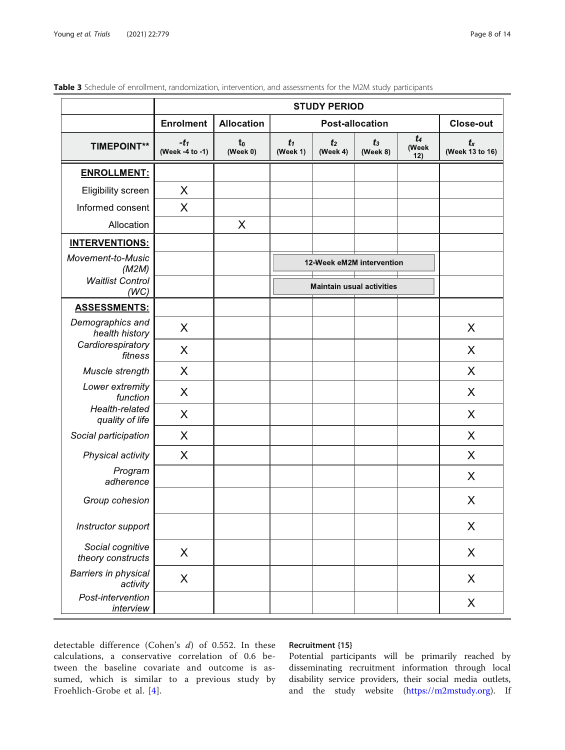|                                       | <b>STUDY PERIOD</b>       |                            |                                  |                            |                   |                         |                            |  |
|---------------------------------------|---------------------------|----------------------------|----------------------------------|----------------------------|-------------------|-------------------------|----------------------------|--|
|                                       | <b>Enrolment</b>          | <b>Allocation</b>          |                                  | Close-out                  |                   |                         |                            |  |
| <b>TIMEPOINT**</b>                    | $-t_1$<br>(Week -4 to -1) | t <sub>0</sub><br>(Week 0) | $t_1$<br>(Week 1)                | t <sub>2</sub><br>(Week 4) | $t_3$<br>(Week 8) | $t_{4}$<br>(Week<br>12) | $t_{x}$<br>(Week 13 to 16) |  |
| <b>ENROLLMENT:</b>                    |                           |                            |                                  |                            |                   |                         |                            |  |
| Eligibility screen                    | $\times$                  |                            |                                  |                            |                   |                         |                            |  |
| Informed consent                      | $\times$                  |                            |                                  |                            |                   |                         |                            |  |
| Allocation                            |                           | X                          |                                  |                            |                   |                         |                            |  |
| <b>INTERVENTIONS:</b>                 |                           |                            |                                  |                            |                   |                         |                            |  |
| Movement-to-Music<br>(M2M)            |                           |                            | 12-Week eM2M intervention        |                            |                   |                         |                            |  |
| <b>Waitlist Control</b><br>(WC)       |                           |                            | <b>Maintain usual activities</b> |                            |                   |                         |                            |  |
| <b>ASSESSMENTS:</b>                   |                           |                            |                                  |                            |                   |                         |                            |  |
| Demographics and<br>health history    | X                         |                            |                                  |                            |                   |                         | X                          |  |
| Cardiorespiratory<br>fitness          | X                         |                            |                                  |                            |                   |                         | X                          |  |
| Muscle strength                       | $\times$                  |                            |                                  |                            |                   |                         | X                          |  |
| Lower extremity<br>function           | $\times$                  |                            |                                  |                            |                   |                         | X                          |  |
| Health-related<br>quality of life     | $\boldsymbol{\mathsf{X}}$ |                            |                                  |                            |                   |                         | X                          |  |
| Social participation                  | X                         |                            |                                  |                            |                   |                         | X                          |  |
| Physical activity                     | $\sf X$                   |                            |                                  |                            |                   |                         | $\times$                   |  |
| Program<br>adherence                  |                           |                            |                                  |                            |                   |                         | X                          |  |
| Group cohesion                        |                           |                            |                                  |                            |                   |                         | $\times$                   |  |
| Instructor support                    |                           |                            |                                  |                            |                   |                         | X                          |  |
| Social cognitive<br>theory constructs | $\sf X$                   |                            |                                  |                            |                   |                         | X                          |  |
| Barriers in physical<br>activity      | $\times$                  |                            |                                  |                            |                   |                         | X                          |  |
| Post-intervention<br>interview        |                           |                            |                                  |                            |                   |                         | X                          |  |

## <span id="page-7-0"></span>Table 3 Schedule of enrollment, randomization, intervention, and assessments for the M2M study participants

detectable difference (Cohen's  $d$ ) of 0.552. In these calculations, a conservative correlation of 0.6 between the baseline covariate and outcome is assumed, which is similar to a previous study by Froehlich-Grobe et al. [[4\]](#page-11-0).

## Recruitment {15}

Potential participants will be primarily reached by disseminating recruitment information through local disability service providers, their social media outlets, and the study website [\(https://m2mstudy.org](https://m2mstudy.org)). If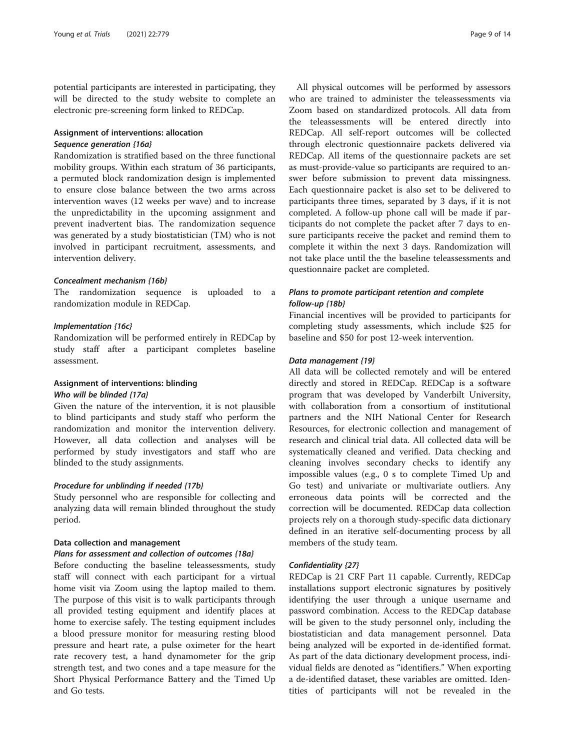potential participants are interested in participating, they will be directed to the study website to complete an electronic pre-screening form linked to REDCap.

## Assignment of interventions: allocation Sequence generation {16a}

Randomization is stratified based on the three functional mobility groups. Within each stratum of 36 participants, a permuted block randomization design is implemented to ensure close balance between the two arms across intervention waves (12 weeks per wave) and to increase the unpredictability in the upcoming assignment and prevent inadvertent bias. The randomization sequence was generated by a study biostatistician (TM) who is not involved in participant recruitment, assessments, and intervention delivery.

#### Concealment mechanism {16b}

The randomization sequence is uploaded to a randomization module in REDCap.

### Implementation {16c}

Randomization will be performed entirely in REDCap by study staff after a participant completes baseline assessment.

## Assignment of interventions: blinding Who will be blinded {17a}

Given the nature of the intervention, it is not plausible to blind participants and study staff who perform the randomization and monitor the intervention delivery. However, all data collection and analyses will be performed by study investigators and staff who are blinded to the study assignments.

## Procedure for unblinding if needed {17b}

Study personnel who are responsible for collecting and analyzing data will remain blinded throughout the study period.

## Data collection and management

## Plans for assessment and collection of outcomes {18a}

Before conducting the baseline teleassessments, study staff will connect with each participant for a virtual home visit via Zoom using the laptop mailed to them. The purpose of this visit is to walk participants through all provided testing equipment and identify places at home to exercise safely. The testing equipment includes a blood pressure monitor for measuring resting blood pressure and heart rate, a pulse oximeter for the heart rate recovery test, a hand dynamometer for the grip strength test, and two cones and a tape measure for the Short Physical Performance Battery and the Timed Up and Go tests.

All physical outcomes will be performed by assessors who are trained to administer the teleassessments via Zoom based on standardized protocols. All data from the teleassessments will be entered directly into REDCap. All self-report outcomes will be collected through electronic questionnaire packets delivered via REDCap. All items of the questionnaire packets are set as must-provide-value so participants are required to answer before submission to prevent data missingness. Each questionnaire packet is also set to be delivered to participants three times, separated by 3 days, if it is not completed. A follow-up phone call will be made if participants do not complete the packet after 7 days to ensure participants receive the packet and remind them to complete it within the next 3 days. Randomization will not take place until the the baseline teleassessments and questionnaire packet are completed.

## Plans to promote participant retention and complete follow-up {18b}

Financial incentives will be provided to participants for completing study assessments, which include \$25 for baseline and \$50 for post 12-week intervention.

#### Data management {19}

All data will be collected remotely and will be entered directly and stored in REDCap. REDCap is a software program that was developed by Vanderbilt University, with collaboration from a consortium of institutional partners and the NIH National Center for Research Resources, for electronic collection and management of research and clinical trial data. All collected data will be systematically cleaned and verified. Data checking and cleaning involves secondary checks to identify any impossible values (e.g., 0 s to complete Timed Up and Go test) and univariate or multivariate outliers. Any erroneous data points will be corrected and the correction will be documented. REDCap data collection projects rely on a thorough study-specific data dictionary defined in an iterative self-documenting process by all members of the study team.

## Confidentiality {27}

REDCap is 21 CRF Part 11 capable. Currently, REDCap installations support electronic signatures by positively identifying the user through a unique username and password combination. Access to the REDCap database will be given to the study personnel only, including the biostatistician and data management personnel. Data being analyzed will be exported in de-identified format. As part of the data dictionary development process, individual fields are denoted as "identifiers." When exporting a de-identified dataset, these variables are omitted. Identities of participants will not be revealed in the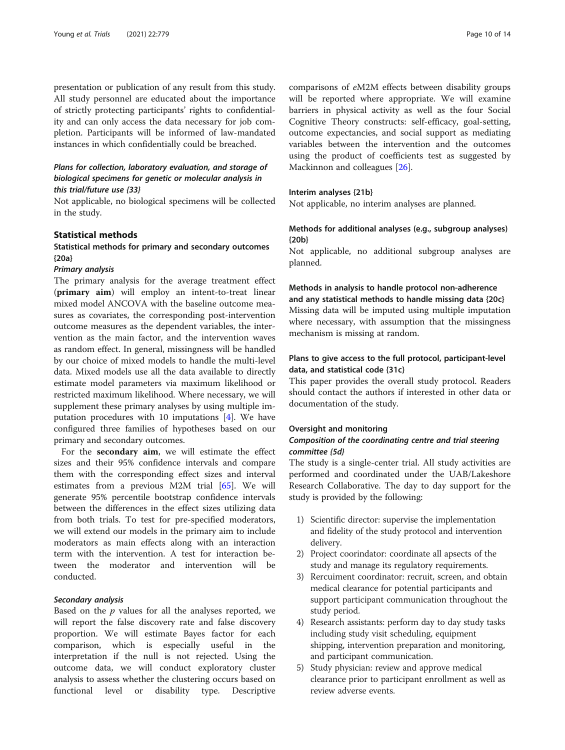presentation or publication of any result from this study. All study personnel are educated about the importance of strictly protecting participants' rights to confidentiality and can only access the data necessary for job completion. Participants will be informed of law-mandated instances in which confidentially could be breached.

## Plans for collection, laboratory evaluation, and storage of biological specimens for genetic or molecular analysis in this trial/future use {33}

Not applicable, no biological specimens will be collected in the study.

## Statistical methods

## Statistical methods for primary and secondary outcomes {20a}

#### Primary analysis

The primary analysis for the average treatment effect (primary aim) will employ an intent-to-treat linear mixed model ANCOVA with the baseline outcome measures as covariates, the corresponding post-intervention outcome measures as the dependent variables, the intervention as the main factor, and the intervention waves as random effect. In general, missingness will be handled by our choice of mixed models to handle the multi-level data. Mixed models use all the data available to directly estimate model parameters via maximum likelihood or restricted maximum likelihood. Where necessary, we will supplement these primary analyses by using multiple imputation procedures with 10 imputations [\[4](#page-11-0)]. We have configured three families of hypotheses based on our primary and secondary outcomes.

For the secondary aim, we will estimate the effect sizes and their 95% confidence intervals and compare them with the corresponding effect sizes and interval estimates from a previous M2M trial [[65\]](#page-13-0). We will generate 95% percentile bootstrap confidence intervals between the differences in the effect sizes utilizing data from both trials. To test for pre-specified moderators, we will extend our models in the primary aim to include moderators as main effects along with an interaction term with the intervention. A test for interaction between the moderator and intervention will be conducted.

## Secondary analysis

Based on the  $p$  values for all the analyses reported, we will report the false discovery rate and false discovery proportion. We will estimate Bayes factor for each comparison, which is especially useful in the interpretation if the null is not rejected. Using the outcome data, we will conduct exploratory cluster analysis to assess whether the clustering occurs based on functional level or disability type. Descriptive comparisons of eM2M effects between disability groups will be reported where appropriate. We will examine barriers in physical activity as well as the four Social Cognitive Theory constructs: self-efficacy, goal-setting, outcome expectancies, and social support as mediating variables between the intervention and the outcomes using the product of coefficients test as suggested by Mackinnon and colleagues [\[26\]](#page-12-0).

#### Interim analyses {21b}

Not applicable, no interim analyses are planned.

## Methods for additional analyses (e.g., subgroup analyses) {20b}

Not applicable, no additional subgroup analyses are planned.

## Methods in analysis to handle protocol non-adherence and any statistical methods to handle missing data {20c} Missing data will be imputed using multiple imputation where necessary, with assumption that the missingness

## Plans to give access to the full protocol, participant-level data, and statistical code {31c}

This paper provides the overall study protocol. Readers should contact the authors if interested in other data or documentation of the study.

#### Oversight and monitoring

mechanism is missing at random.

## Composition of the coordinating centre and trial steering committee {5d}

The study is a single-center trial. All study activities are performed and coordinated under the UAB/Lakeshore Research Collaborative. The day to day support for the study is provided by the following:

- 1) Scientific director: supervise the implementation and fidelity of the study protocol and intervention delivery.
- 2) Project coorindator: coordinate all apsects of the study and manage its regulatory requirements.
- 3) Rercuiment coordinator: recruit, screen, and obtain medical clearance for potential participants and support participant communication throughout the study period.
- 4) Research assistants: perform day to day study tasks including study visit scheduling, equipment shipping, intervention preparation and monitoring, and participant communication.
- 5) Study physician: review and approve medical clearance prior to participant enrollment as well as review adverse events.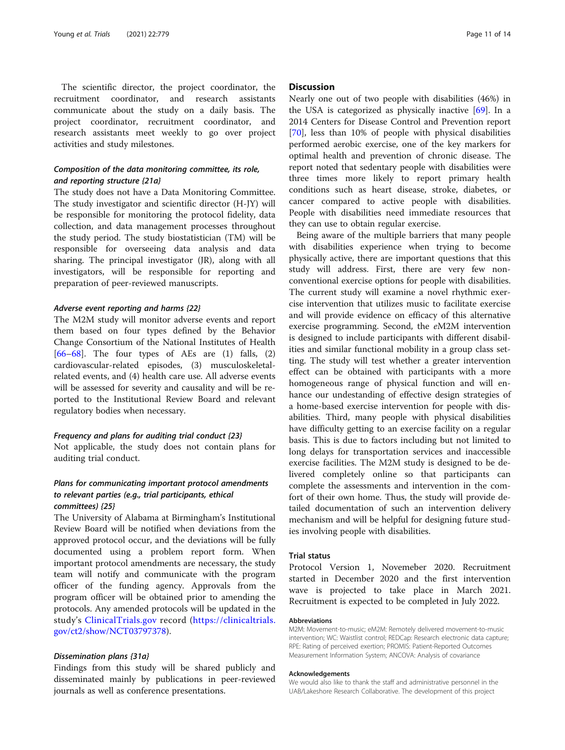The scientific director, the project coordinator, the recruitment coordinator, and research assistants communicate about the study on a daily basis. The project coordinator, recruitment coordinator, and research assistants meet weekly to go over project activities and study milestones.

## Composition of the data monitoring committee, its role, and reporting structure {21a}

The study does not have a Data Monitoring Committee. The study investigator and scientific director (H-JY) will be responsible for monitoring the protocol fidelity, data collection, and data management processes throughout the study period. The study biostatistician (TM) will be responsible for overseeing data analysis and data sharing. The principal investigator (JR), along with all investigators, will be responsible for reporting and preparation of peer-reviewed manuscripts.

#### Adverse event reporting and harms {22}

The M2M study will monitor adverse events and report them based on four types defined by the Behavior Change Consortium of the National Institutes of Health  $[66-68]$  $[66-68]$  $[66-68]$  $[66-68]$  $[66-68]$ . The four types of AEs are  $(1)$  falls,  $(2)$ cardiovascular-related episodes, (3) musculoskeletalrelated events, and (4) health care use. All adverse events will be assessed for severity and causality and will be reported to the Institutional Review Board and relevant regulatory bodies when necessary.

#### Frequency and plans for auditing trial conduct {23}

Not applicable, the study does not contain plans for auditing trial conduct.

## Plans for communicating important protocol amendments to relevant parties (e.g., trial participants, ethical committees) {25}

The University of Alabama at Birmingham's Institutional Review Board will be notified when deviations from the approved protocol occur, and the deviations will be fully documented using a problem report form. When important protocol amendments are necessary, the study team will notify and communicate with the program officer of the funding agency. Approvals from the program officer will be obtained prior to amending the protocols. Any amended protocols will be updated in the study's [ClinicalTrials.gov](http://clinicaltrials.gov) record [\(https://clinicaltrials.](https://clinicaltrials.gov/ct2/show/NCT03797378) [gov/ct2/show/NCT03797378](https://clinicaltrials.gov/ct2/show/NCT03797378)).

#### Dissemination plans {31a}

Findings from this study will be shared publicly and disseminated mainly by publications in peer-reviewed journals as well as conference presentations.

## **Discussion**

Nearly one out of two people with disabilities (46%) in the USA is categorized as physically inactive  $[69]$  $[69]$ . In a 2014 Centers for Disease Control and Prevention report [[70\]](#page-13-0), less than 10% of people with physical disabilities performed aerobic exercise, one of the key markers for optimal health and prevention of chronic disease. The report noted that sedentary people with disabilities were three times more likely to report primary health conditions such as heart disease, stroke, diabetes, or cancer compared to active people with disabilities. People with disabilities need immediate resources that they can use to obtain regular exercise.

Being aware of the multiple barriers that many people with disabilities experience when trying to become physically active, there are important questions that this study will address. First, there are very few nonconventional exercise options for people with disabilities. The current study will examine a novel rhythmic exercise intervention that utilizes music to facilitate exercise and will provide evidence on efficacy of this alternative exercise programming. Second, the eM2M intervention is designed to include participants with different disabilities and similar functional mobility in a group class setting. The study will test whether a greater intervention effect can be obtained with participants with a more homogeneous range of physical function and will enhance our undestanding of effective design strategies of a home-based exercise intervention for people with disabilities. Third, many people with physical disabilities have difficulty getting to an exercise facility on a regular basis. This is due to factors including but not limited to long delays for transportation services and inaccessible exercise facilities. The M2M study is designed to be delivered completely online so that participants can complete the assessments and intervention in the comfort of their own home. Thus, the study will provide detailed documentation of such an intervention delivery mechanism and will be helpful for designing future studies involving people with disabilities.

#### Trial status

Protocol Version 1, Novemeber 2020. Recruitment started in December 2020 and the first intervention wave is projected to take place in March 2021. Recruitment is expected to be completed in July 2022.

#### Abbreviations

M2M: Movement-to-music; eM2M: Remotely delivered movement-to-music intervention; WC: Waistlist control; REDCap: Research electronic data capture; RPE: Rating of perceived exertion; PROMIS: Patient-Reported Outcomes Measurement Information System; ANCOVA: Analysis of covariance

#### Acknowledgements

We would also like to thank the staff and administrative personnel in the UAB/Lakeshore Research Collaborative. The development of this project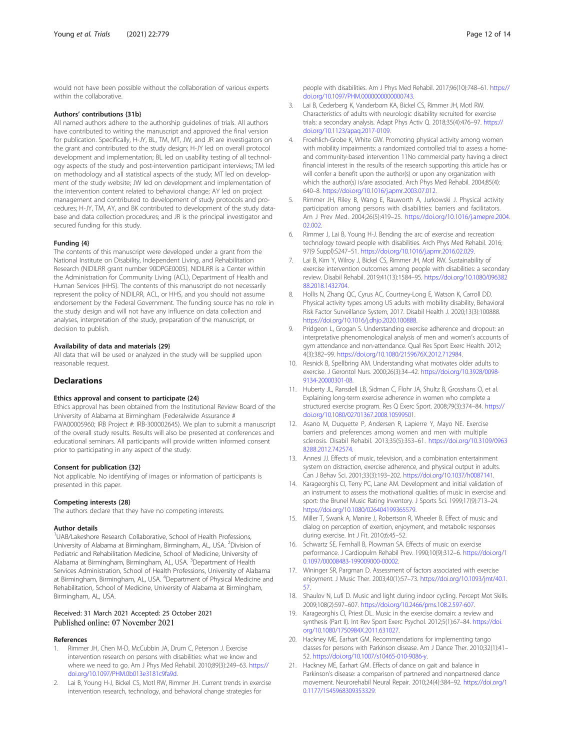<span id="page-11-0"></span>would not have been possible without the collaboration of various experts within the collaborative.

#### Authors' contributions {31b}

All named authors adhere to the authorship guidelines of trials. All authors have contributed to writing the manuscript and approved the final version for publication. Specifically, H-JY, BL, TM, MT, JW, and JR are investigators on the grant and contributed to the study design; H-JY led on overall protocol development and implementation; BL led on usability testing of all technology aspects of the study and post-intervention participant interviews; TM led on methodology and all statistical aspects of the study; MT led on development of the study website; JW led on development and implementation of the intervention content related to behavioral change; AY led on project management and contributed to development of study protocols and procedures; H-JY, TM, AY, and BK contributed to development of the study database and data collection procedures; and JR is the principal investigator and secured funding for this study.

## Funding {4}

The contents of this manuscript were developed under a grant from the National Institute on Disability, Independent Living, and Rehabilitation Research (NIDILRR grant number 90DPGE0005). NIDILRR is a Center within the Administration for Community Living (ACL), Department of Health and Human Services (HHS). The contents of this manuscript do not necessarily represent the policy of NIDILRR, ACL, or HHS, and you should not assume endorsement by the Federal Government. The funding source has no role in the study design and will not have any influence on data collection and analyses, interpretation of the study, preparation of the manuscript, or decision to publish.

#### Availability of data and materials {29}

All data that will be used or analyzed in the study will be supplied upon reasonable request.

#### **Declarations**

#### Ethics approval and consent to participate {24}

Ethics approval has been obtained from the Institutional Review Board of the University of Alabama at Birmingham (Federalwide Assurance # FWA00005960; IRB Project #: IRB-300002645). We plan to submit a manuscript of the overall study results. Results will also be presented at conferences and educational seminars. All participants will provide written informed consent prior to participating in any aspect of the study.

#### Consent for publication {32}

Not applicable. No identifying of images or information of participants is presented in this paper.

#### Competing interests {28}

The authors declare that they have no competing interests.

#### Author details

<sup>1</sup>UAB/Lakeshore Research Collaborative, School of Health Professions, University of Alabama at Birmingham, Birmingham, AL, USA. <sup>2</sup>Division of Pediatric and Rehabilitation Medicine, School of Medicine, University of Alabama at Birmingham, Birmingham, AL, USA. <sup>3</sup>Department of Health Services Administration, School of Health Professions, University of Alabama at Birmingham, Birmingham, AL, USA. <sup>4</sup>Department of Physical Medicine and Rehabilitation, School of Medicine, University of Alabama at Birmingham, Birmingham, AL, USA.

## Received: 31 March 2021 Accepted: 25 October 2021 Published online: 07 November 2021

#### References

- Rimmer JH, Chen M-D, McCubbin JA, Drum C, Peterson J. Exercise intervention research on persons with disabilities: what we know and where we need to go. Am J Phys Med Rehabil. 2010;89(3):249–63. [https://](https://doi.org/10.1097/PHM.0b013e3181c9fa9d) [doi.org/10.1097/PHM.0b013e3181c9fa9d](https://doi.org/10.1097/PHM.0b013e3181c9fa9d).
- 2. Lai B, Young H-J, Bickel CS, Motl RW, Rimmer JH. Current trends in exercise intervention research, technology, and behavioral change strategies for
- 3. Lai B, Cederberg K, Vanderbom KA, Bickel CS, Rimmer JH, Motl RW. Characteristics of adults with neurologic disability recruited for exercise trials: a secondary analysis. Adapt Phys Activ Q. 2018;35(4):476–97. [https://](https://doi.org/10.1123/apaq.2017-0109) [doi.org/10.1123/apaq.2017-0109.](https://doi.org/10.1123/apaq.2017-0109)
- 4. Froehlich-Grobe K, White GW. Promoting physical activity among women with mobility impairments: a randomized controlled trial to assess a homeand community-based intervention 11No commercial party having a direct financial interest in the results of the research supporting this article has or will confer a benefit upon the author(s) or upon any organization with which the author(s) is/are associated. Arch Phys Med Rehabil. 2004;85(4): 640–8. <https://doi.org/10.1016/j.apmr.2003.07.012>.
- 5. Rimmer JH, Riley B, Wang E, Rauworth A, Jurkowski J. Physical activity participation among persons with disabilities: barriers and facilitators. Am J Prev Med. 2004;26(5):419–25. [https://doi.org/10.1016/j.amepre.2004.](https://doi.org/10.1016/j.amepre.2004.02.002) [02.002.](https://doi.org/10.1016/j.amepre.2004.02.002)
- 6. Rimmer J, Lai B, Young H-J. Bending the arc of exercise and recreation technology toward people with disabilities. Arch Phys Med Rehabil. 2016; 97(9 Suppl):S247–51. <https://doi.org/10.1016/j.apmr.2016.02.029>.
- 7. Lai B, Kim Y, Wilroy J, Bickel CS, Rimmer JH, Motl RW. Sustainability of exercise intervention outcomes among people with disabilities: a secondary review. Disabil Rehabil. 2019;41(13):1584–95. [https://doi.org/10.1080/096382](https://doi.org/10.1080/09638288.2018.1432704) [88.2018.1432704](https://doi.org/10.1080/09638288.2018.1432704).
- 8. Hollis N, Zhang QC, Cyrus AC, Courtney-Long E, Watson K, Carroll DD. Physical activity types among US adults with mobility disability, Behavioral Risk Factor Surveillance System, 2017. Disabil Health J. 2020;13(3):100888. <https://doi.org/10.1016/j.dhjo.2020.100888>.
- 9. Pridgeon L, Grogan S. Understanding exercise adherence and dropout: an interpretative phenomenological analysis of men and women's accounts of gym attendance and non-attendance. Qual Res Sport Exerc Health. 2012; 4(3):382–99. [https://doi.org/10.1080/2159676X.2012.712984.](https://doi.org/10.1080/2159676X.2012.712984)
- 10. Resnick B, Spellbring AM. Understanding what motivates older adults to exercise. J Gerontol Nurs. 2000;26(3):34–42. [https://doi.org/10.3928/0098-](https://doi.org/10.3928/0098-9134-20000301-08) [9134-20000301-08.](https://doi.org/10.3928/0098-9134-20000301-08)
- 11. Huberty JL, Ransdell LB, Sidman C, Flohr JA, Shultz B, Grosshans O, et al. Explaining long-term exercise adherence in women who complete a structured exercise program. Res Q Exerc Sport. 2008;79(3):374–84. [https://](https://doi.org/10.1080/02701367.2008.10599501) [doi.org/10.1080/02701367.2008.10599501.](https://doi.org/10.1080/02701367.2008.10599501)
- 12. Asano M, Duquette P, Andersen R, Lapierre Y, Mayo NE. Exercise barriers and preferences among women and men with multiple sclerosis. Disabil Rehabil. 2013;35(5):353–61. [https://doi.org/10.3109/0963](https://doi.org/10.3109/09638288.2012.742574) [8288.2012.742574](https://doi.org/10.3109/09638288.2012.742574).
- 13. Annesi JJ. Effects of music, television, and a combination entertainment system on distraction, exercise adherence, and physical output in adults. Can J Behav Sci. 2001;33(3):193–202. <https://doi.org/10.1037/h0087141>.
- 14. Karageorghis CI, Terry PC, Lane AM. Development and initial validation of an instrument to assess the motivational qualities of music in exercise and sport: the Brunel Music Rating Inventory. J Sports Sci. 1999;17(9):713–24. <https://doi.org/10.1080/026404199365579>.
- 15. Miller T, Swank A, Manire J, Robertson R, Wheeler B. Effect of music and dialog on perception of exertion, enjoyment, and metabolic responses during exercise. Int J Fit. 2010;6:45–52.
- 16. Schwartz SE, Fernhall B, Plowman SA. Effects of music on exercise performance. J Cardiopulm Rehabil Prev. 1990;10(9):312–6. [https://doi.org/1](https://doi.org/10.1097/00008483-199009000-00002) [0.1097/00008483-199009000-00002.](https://doi.org/10.1097/00008483-199009000-00002)
- 17. Wininger SR, Pargman D. Assessment of factors associated with exercise enjoyment. J Music Ther. 2003;40(1):57–73. [https://doi.org/10.1093/jmt/40.1.](https://doi.org/10.1093/jmt/40.1.57) [57.](https://doi.org/10.1093/jmt/40.1.57)
- 18. Shaulov N, Lufi D. Music and light during indoor cycling. Percept Mot Skills. 2009;108(2):597–607. [https://doi.org/10.2466/pms.108.2.597-607.](https://doi.org/10.2466/pms.108.2.597-607)
- 19. Karageorghis CI, Priest DL. Music in the exercise domain: a review and synthesis (Part II). Int Rev Sport Exerc Psychol. 2012;5(1):67–84. [https://doi.](https://doi.org/10.1080/1750984X.2011.631027) [org/10.1080/1750984X.2011.631027](https://doi.org/10.1080/1750984X.2011.631027).
- 20. Hackney ME, Earhart GM. Recommendations for implementing tango classes for persons with Parkinson disease. Am J Dance Ther. 2010;32(1):41– 52. [https://doi.org/10.1007/s10465-010-9086-y.](https://doi.org/10.1007/s10465-010-9086-y)
- 21. Hackney ME, Earhart GM. Effects of dance on gait and balance in Parkinson's disease: a comparison of partnered and nonpartnered dance movement. Neurorehabil Neural Repair. 2010;24(4):384–92. [https://doi.org/1](https://doi.org/10.1177/1545968309353329) [0.1177/1545968309353329](https://doi.org/10.1177/1545968309353329).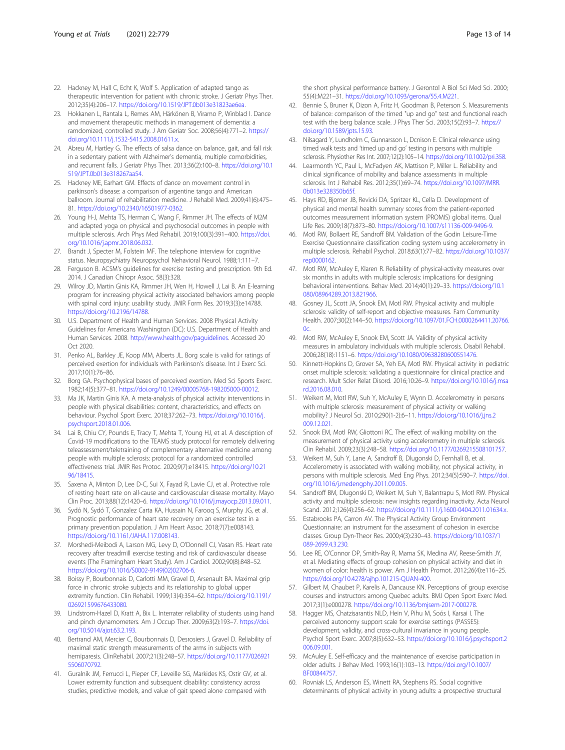- <span id="page-12-0"></span>22. Hackney M, Hall C, Echt K, Wolf S. Application of adapted tango as therapeutic intervention for patient with chronic stroke. J Geriatr Phys Ther. 2012;35(4):206–17. [https://doi.org/10.1519/JPT.0b013e31823ae6ea.](https://doi.org/10.1519/JPT.0b013e31823ae6ea)
- 23. Hokkanen L, Rantala L, Remes AM, Härkönen B, Viramo P, Winblad I. Dance and movement therapeutic methods in management of dementia: a ramdomized, controlled study. J Am Geriatr Soc. 2008;56(4):771–2. [https://](https://doi.org/10.1111/j.1532-5415.2008.01611.x) [doi.org/10.1111/j.1532-5415.2008.01611.x.](https://doi.org/10.1111/j.1532-5415.2008.01611.x)
- 24. Abreu M, Hartley G. The effects of salsa dance on balance, gait, and fall risk in a sedentary patient with Alzheimer's dementia, multiple comorbidities, and recurrent falls. J Geriatr Phys Ther. 2013;36(2):100–8. [https://doi.org/10.1](https://doi.org/10.1519/JPT.0b013e318267aa54) [519/JPT.0b013e318267aa54](https://doi.org/10.1519/JPT.0b013e318267aa54).
- 25. Hackney ME, Earhart GM. Effects of dance on movement control in parkinson's disease: a comparison of argentine tango and American ballroom. Journal of rehabilitation medicine. J Rehabil Med. 2009;41(6):475– 81. <https://doi.org/10.2340/16501977-0362>.
- 26. Young H-J, Mehta TS, Herman C, Wang F, Rimmer JH. The effects of M2M and adapted yoga on physical and psychosocial outcomes in people with multiple sclerosis. Arch Phys Med Rehabil. 2019;100(3):391–400. [https://doi.](https://doi.org/10.1016/j.apmr.2018.06.032) [org/10.1016/j.apmr.2018.06.032.](https://doi.org/10.1016/j.apmr.2018.06.032)
- 27. Brandt J, Specter M, Folstein MF. The telephone interview for cognitive status. Neuropsychiatry Neuropsychol Nehavioral Neurol. 1988;1:111–7.
- 28. Ferguson B. ACSM's guidelines for exercise testing and prescription. 9th Ed. 2014. J Canadian Chiropr Assoc. 58(3):328.
- 29. Wilroy JD, Martin Ginis KA, Rimmer JH, Wen H, Howell J, Lai B. An E-learning program for increasing physical activity associated behaviors among people with spinal cord injury: usability study. JMIR Form Res. 2019;3(3):e14788. [https://doi.org/10.2196/14788.](https://doi.org/10.2196/14788)
- 30. U.S. Department of Health and Human Services. 2008 Physical Activity Guidelines for Americans Washington (DC): U.S. Department of Health and Human Services. 2008. [http://www.health.gov/paguidelines.](http://www.health.gov/paguidelines) Accessed 20 Oct 2020.
- 31. Penko AL, Barkley JE, Koop MM, Alberts JL. Borg scale is valid for ratings of perceived exertion for individuals with Parkinson's disease. Int J Exerc Sci. 2017;10(1):76–86.
- 32. Borg GA. Psychophysical bases of perceived exertion. Med Sci Sports Exerc. 1982;14(5):377–81. <https://doi.org/10.1249/00005768-198205000-00012>.
- 33. Ma JK, Martin Ginis KA. A meta-analysis of physical activity interventions in people with physical disabilities: content, characteristics, and effects on behaviour. Psychol Sport Exerc. 2018;37:262–73. [https://doi.org/10.1016/j.](https://doi.org/10.1016/j.psychsport.2018.01.006) [psychsport.2018.01.006.](https://doi.org/10.1016/j.psychsport.2018.01.006)
- 34. Lai B, Chiu CY, Pounds E, Tracy T, Mehta T, Young HJ, et al. A description of Covid-19 modifications to the TEAMS study protocol for remotely delivering teleassessment/teletraining of complementary alternative medicine among people with multiple sclerosis: protocol for a randomized controlled effectiveness trial. JMIR Res Protoc. 2020;9(7):e18415. [https://doi.org/10.21](https://doi.org/10.2196/18415) [96/18415](https://doi.org/10.2196/18415).
- 35. Saxena A, Minton D, Lee D-C, Sui X, Fayad R, Lavie CJ, et al. Protective role of resting heart rate on all-cause and cardiovascular disease mortality. Mayo Clin Proc. 2013;88(12):1420–6. [https://doi.org/10.1016/j.mayocp.2013.09.011.](https://doi.org/10.1016/j.mayocp.2013.09.011)
- 36. Sydó N, Sydó T, Gonzalez Carta KA, Hussain N, Farooq S, Murphy JG, et al. Prognostic performance of heart rate recovery on an exercise test in a primary prevention population. J Am Heart Assoc. 2018;7(7):e008143. <https://doi.org/10.1161/JAHA.117.008143>.
- 37. Morshedi-Meibodi A, Larson MG, Levy D, O'Donnell CJ, Vasan RS. Heart rate recovery after treadmill exercise testing and risk of cardiovascular disease events (The Framingham Heart Study). Am J Cardiol. 2002;90(8):848–52. [https://doi.org/10.1016/S0002-9149\(02\)02706-6.](https://doi.org/10.1016/S0002-9149(02)02706-6)
- 38. Boissy P, Bourbonnais D, Carlotti MM, Gravel D, Arsenault BA. Maximal grip force in chronic stroke subjects and its relationship to global upper extremity function. Clin Rehabil. 1999;13(4):354–62. [https://doi.org/10.1191/](https://doi.org/10.1191/026921599676433080) [026921599676433080](https://doi.org/10.1191/026921599676433080).
- 39. Lindstrom-Hazel D, Kratt A, Bix L. Interrater reliability of students using hand and pinch dynamometers. Am J Occup Ther. 2009;63(2):193–7. [https://doi.](https://doi.org/10.5014/ajot.63.2.193) [org/10.5014/ajot.63.2.193.](https://doi.org/10.5014/ajot.63.2.193)
- 40. Bertrand AM, Mercier C, Bourbonnais D, Desrosiers J, Gravel D. Reliability of maximal static strength measurements of the arms in subjects with hemiparesis. ClinRehabil. 2007;21(3):248–57. [https://doi.org/10.1177/026921](https://doi.org/10.1177/0269215506070792) [5506070792.](https://doi.org/10.1177/0269215506070792)
- 41. Guralnik JM, Ferrucci L, Pieper CF, Leveille SG, Markides KS, Ostir GV, et al. Lower extremity function and subsequent disability: consistency across studies, predictive models, and value of gait speed alone compared with

the short physical performance battery. J Gerontol A Biol Sci Med Sci. 2000; 55(4):M221–31. <https://doi.org/10.1093/gerona/55.4.M221>.

- 42. Bennie S, Bruner K, Dizon A, Fritz H, Goodman B, Peterson S. Measurements of balance: comparison of the timed "up and go" test and functional reach test with the berg balance scale. J Phys Ther Sci. 2003;15(2):93–7. [https://](https://doi.org/10.1589/jpts.15.93) [doi.org/10.1589/jpts.15.93](https://doi.org/10.1589/jpts.15.93).
- 43. Nilsagard Y, Lundholm C, Gunnarsson L, Dcnison E. Clinical relevance using timed walk tests and 'timed up and go' testing in persons with multiple sclerosis. Physiother Res Int. 2007;12(2):105–14. [https://doi.org/10.1002/pri.358.](https://doi.org/10.1002/pri.358)
- 44. Learmonth YC, Paul L, McFadyen AK, Mattison P, Miller L. Reliability and clinical significance of mobility and balance assessments in multiple sclerosis. Int J Rehabil Res. 2012;35(1):69–74. [https://doi.org/10.1097/MRR.](https://doi.org/10.1097/MRR.0b013e328350b65f) [0b013e328350b65f.](https://doi.org/10.1097/MRR.0b013e328350b65f)
- 45. Hays RD, Bjorner JB, Revicki DA, Spritzer KL, Cella D. Development of physical and mental health summary scores from the patient-reported outcomes measurement information system (PROMIS) global items. Qual Life Res. 2009;18(7):873–80. <https://doi.org/10.1007/s11136-009-9496-9>.
- 46. Motl RW, Bollaert RE, Sandroff BM. Validation of the Godin Leisure-Time Exercise Questionnaire classification coding system using accelerometry in multiple sclerosis. Rehabil Psychol. 2018;63(1):77–82. [https://doi.org/10.1037/](https://doi.org/10.1037/rep0000162) [rep0000162.](https://doi.org/10.1037/rep0000162)
- 47. Motl RW, McAuley E, Klaren R. Reliability of physical-activity measures over six months in adults with multiple sclerosis: implications for designing behavioral interventions. Behav Med. 2014;40(1):29–33. [https://doi.org/10.1](https://doi.org/10.1080/08964289.2013.821966) [080/08964289.2013.821966](https://doi.org/10.1080/08964289.2013.821966).
- 48. Gosney JL, Scott JA, Snook EM, Motl RW. Physical activity and multiple sclerosis: validity of self-report and objective measures. Fam Community Health. 2007;30(2):144–50. [https://doi.org/10.1097/01.FCH.0000264411.20766.](https://doi.org/10.1097/01.FCH.0000264411.20766.0c)  $0<sup>c</sup>$
- 49. Motl RW, McAuley E, Snook EM, Scott JA. Validity of physical activity measures in ambulatory individuals with multiple sclerosis. Disabil Rehabil. 2006;28(18):1151–6. <https://doi.org/10.1080/09638280600551476>.
- 50. Kinnett-Hopkins D, Grover SA, Yeh EA, Motl RW. Physical activity in pediatric onset multiple sclerosis: validating a questionnaire for clinical practice and research. Mult Scler Relat Disord. 2016;10:26–9. [https://doi.org/10.1016/j.msa](https://doi.org/10.1016/j.msard.2016.08.010) [rd.2016.08.010.](https://doi.org/10.1016/j.msard.2016.08.010)
- 51. Weikert M, Motl RW, Suh Y, McAuley E, Wynn D. Accelerometry in persons with multiple sclerosis: measurement of physical activity or walking mobility? J Neurol Sci. 2010;290(1-2):6–11. [https://doi.org/10.1016/j.jns.2](https://doi.org/10.1016/j.jns.2009.12.021) [009.12.021](https://doi.org/10.1016/j.jns.2009.12.021).
- 52. Snook EM, Motl RW, Gliottoni RC. The effect of walking mobility on the measurement of physical activity using accelerometry in multiple sclerosis. Clin Rehabil. 2009;23(3):248–58. <https://doi.org/10.1177/0269215508101757>.
- 53. Weikert M, Suh Y, Lane A, Sandroff B, Dlugonski D, Fernhall B, et al. Accelerometry is associated with walking mobility, not physical activity, in persons with multiple sclerosis. Med Eng Phys. 2012;34(5):590–7. [https://doi.](https://doi.org/10.1016/j.medengphy.2011.09.005) [org/10.1016/j.medengphy.2011.09.005.](https://doi.org/10.1016/j.medengphy.2011.09.005)
- 54. Sandroff BM, Dlugonski D, Weikert M, Suh Y, Balantrapu S, Motl RW. Physical activity and multiple sclerosis: new insights regarding inactivity. Acta Neurol Scand. 2012;126(4):256–62. <https://doi.org/10.1111/j.1600-0404.2011.01634.x>.
- 55. Estabrooks PA, Carron AV. The Physical Activity Group Environment Questionnaire: an instrument for the assessment of cohesion in exercise classes. Group Dyn-Theor Res. 2000;4(3):230–43. [https://doi.org/10.1037/1](https://doi.org/10.1037/1089-2699.4.3.230) [089-2699.4.3.230](https://doi.org/10.1037/1089-2699.4.3.230).
- 56. Lee RE, O'Connor DP, Smith-Ray R, Mama SK, Medina AV, Reese-Smith JY, et al. Mediating effects of group cohesion on physical activity and diet in women of color: health is power. Am J Health Promot. 2012;26(4):e116–25. <https://doi.org/10.4278/ajhp.101215-QUAN-400>.
- 57. Gilbert M, Chaubet P, Karelis A, Dancause KN. Perceptions of group exercise courses and instructors among Quebec adults. BMJ Open Sport Exerc Med. 2017;3(1):e000278. [https://doi.org/10.1136/bmjsem-2017-000278.](https://doi.org/10.1136/bmjsem-2017-000278)
- 58. Hagger MS, Chatzisarantis NLD, Hein V, Pihu M, Soós I, Karsai I. The perceived autonomy support scale for exercise settings (PASSES): development, validity, and cross-cultural invariance in young people. Psychol Sport Exerc. 2007;8(5):632–53. [https://doi.org/10.1016/j.psychsport.2](https://doi.org/10.1016/j.psychsport.2006.09.001) [006.09.001](https://doi.org/10.1016/j.psychsport.2006.09.001).
- 59. McAuley E. Self-efficacy and the maintenance of exercise participation in older adults. J Behav Med. 1993;16(1):103–13. [https://doi.org/10.1007/](https://doi.org/10.1007/BF00844757) [BF00844757.](https://doi.org/10.1007/BF00844757)
- Rovniak LS, Anderson ES, Winett RA, Stephens RS. Social cognitive determinants of physical activity in young adults: a prospective structural